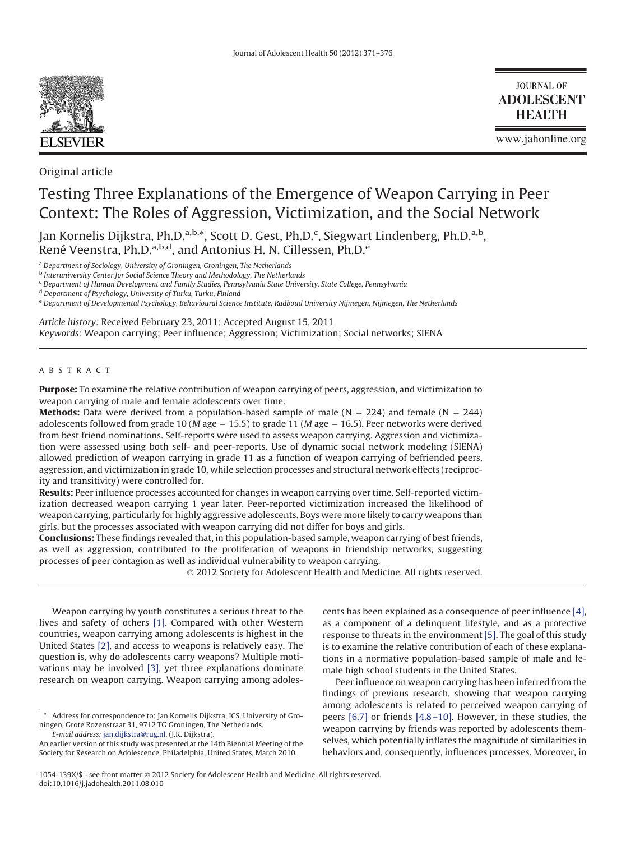

Original article

**JOURNAL OF ADOLESCENT HEALTH** 

www.jahonline.org

# Testing Three Explanations of the Emergence of Weapon Carrying in Peer Context: The Roles of Aggression, Victimization, and the Social Network

Jan Kornelis Dijkstra, Ph.D.<sup>a,b,\*</sup>, Scott D. Gest, Ph.D.<sup>c</sup>, Siegwart Lindenberg, Ph.D.<sup>a,b</sup>, René Veenstra, Ph.D.<sup>a,b,d</sup>, and Antonius H. N. Cillessen, Ph.D.<sup>e</sup>

<sup>a</sup> *Department of Sociology, University of Groningen, Groningen, The Netherlands*

<sup>b</sup> *Interuniversity Center for Social Science Theory and Methodology, The Netherlands*

<sup>c</sup> *Department of Human Development and Family Studies, Pennsylvania State University, State College, Pennsylvania*

<sup>d</sup> *Department of Psychology, University of Turku, Turku, Finland*

<sup>e</sup> *Department of Developmental Psychology, Behavioural Science Institute, Radboud University Nijmegen, Nijmegen, The Netherlands*

*Article history:* Received February 23, 2011; Accepted August 15, 2011 *Keywords:* Weapon carrying; Peer influence; Aggression; Victimization; Social networks; SIENA

## ABSTRACT

**Purpose:** To examine the relative contribution of weapon carrying of peers, aggression, and victimization to weapon carrying of male and female adolescents over time.

**Methods:** Data were derived from a population-based sample of male  $(N = 224)$  and female  $(N = 244)$ adolescents followed from grade 10 (*M* age  $= 15.5$ ) to grade 11 (*M* age  $= 16.5$ ). Peer networks were derived from best friend nominations. Self-reports were used to assess weapon carrying. Aggression and victimization were assessed using both self- and peer-reports. Use of dynamic social network modeling (SIENA) allowed prediction of weapon carrying in grade 11 as a function of weapon carrying of befriended peers, aggression, and victimization in grade 10, while selection processes and structural network effects (reciprocity and transitivity) were controlled for.

**Results:** Peer influence processes accounted for changes in weapon carrying over time. Self-reported victimization decreased weapon carrying 1 year later. Peer-reported victimization increased the likelihood of weapon carrying, particularly for highly aggressive adolescents. Boys were more likely to carry weapons than girls, but the processes associated with weapon carrying did not differ for boys and girls.

**Conclusions:** These findings revealed that, in this population-based sample, weapon carrying of best friends, as well as aggression, contributed to the proliferation of weapons in friendship networks, suggesting processes of peer contagion as well as individual vulnerability to weapon carrying.

2012 Society for Adolescent Health and Medicine. All rights reserved.

Weapon carrying by youth constitutes a serious threat to the lives and safety of others [\[1\].](#page-5-0) Compared with other Western countries, weapon carrying among adolescents is highest in the United States [\[2\],](#page-5-1) and access to weapons is relatively easy. The question is, why do adolescents carry weapons? Multiple motivations may be involved [\[3\],](#page-5-2) yet three explanations dominate research on weapon carrying. Weapon carrying among adolescents has been explained as a consequence of peer influence [\[4\],](#page-5-3) as a component of a delinquent lifestyle, and as a protective response to threats in the environment [\[5\].](#page-5-4) The goal of this study is to examine the relative contribution of each of these explanations in a normative population-based sample of male and female high school students in the United States.

Peer influence on weapon carrying has been inferred from the findings of previous research, showing that weapon carrying among adolescents is related to perceived weapon carrying of peers [\[6,7\]](#page-5-5) or friends [\[4,8 –10\].](#page-5-3) However, in these studies, the weapon carrying by friends was reported by adolescents themselves, which potentially inflates the magnitude of similarities in behaviors and, consequently, influences processes. Moreover, in

<sup>\*</sup> Address for correspondence to: Jan Kornelis Dijkstra, ICS, University of Groningen, Grote Rozenstraat 31, 9712 TG Groningen, The Netherlands. *E-mail address:* [jan.dijkstra@rug.nl.](mailto:jan.dijkstra@rug.nl) (J.K. Dijkstra).

An earlier version of this study was presented at the 14th Biennial Meeting of the Society for Research on Adolescence, Philadelphia, United States, March 2010.

<sup>1054-139</sup>X/\$ - see front matter 2012 Society for Adolescent Health and Medicine. All rights reserved. doi:10.1016/j.jadohealth.2011.08.010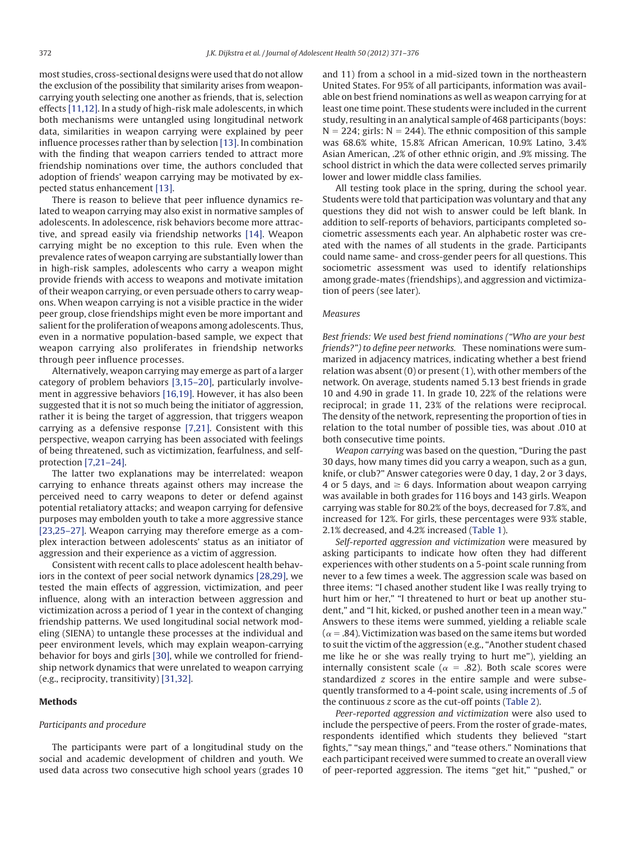most studies, cross-sectional designs were used that do not allow the exclusion of the possibility that similarity arises from weaponcarrying youth selecting one another as friends, that is, selection effects [\[11,12\].](#page-5-6) In a study of high-risk male adolescents, in which both mechanisms were untangled using longitudinal network data, similarities in weapon carrying were explained by peer influence processes rather than by selection [\[13\].](#page-5-7) In combination with the finding that weapon carriers tended to attract more friendship nominations over time, the authors concluded that adoption of friends' weapon carrying may be motivated by expected status enhancement [\[13\].](#page-5-7)

There is reason to believe that peer influence dynamics related to weapon carrying may also exist in normative samples of adolescents. In adolescence, risk behaviors become more attractive, and spread easily via friendship networks [\[14\].](#page-5-8) Weapon carrying might be no exception to this rule. Even when the prevalence rates of weapon carrying are substantially lower than in high-risk samples, adolescents who carry a weapon might provide friends with access to weapons and motivate imitation of their weapon carrying, or even persuade others to carry weapons. When weapon carrying is not a visible practice in the wider peer group, close friendships might even be more important and salient for the proliferation of weapons among adolescents. Thus, even in a normative population-based sample, we expect that weapon carrying also proliferates in friendship networks through peer influence processes.

Alternatively, weapon carrying may emerge as part of a larger category of problem behaviors [\[3,15–20\],](#page-5-2) particularly involvement in aggressive behaviors [\[16,19\].](#page-5-9) However, it has also been suggested that it is not so much being the initiator of aggression, rather it is being the target of aggression, that triggers weapon carrying as a defensive response [\[7,21\].](#page-5-10) Consistent with this perspective, weapon carrying has been associated with feelings of being threatened, such as victimization, fearfulness, and selfprotection [\[7,21–24\].](#page-5-10)

The latter two explanations may be interrelated: weapon carrying to enhance threats against others may increase the perceived need to carry weapons to deter or defend against potential retaliatory attacks; and weapon carrying for defensive purposes may embolden youth to take a more aggressive stance [\[23,25–27\].](#page-5-11) Weapon carrying may therefore emerge as a complex interaction between adolescents' status as an initiator of aggression and their experience as a victim of aggression.

Consistent with recent calls to place adolescent health behaviors in the context of peer social network dynamics [\[28,29\],](#page-5-12) we tested the main effects of aggression, victimization, and peer influence, along with an interaction between aggression and victimization across a period of 1 year in the context of changing friendship patterns. We used longitudinal social network modeling (SIENA) to untangle these processes at the individual and peer environment levels, which may explain weapon-carrying behavior for boys and girls [\[30\],](#page-5-13) while we controlled for friendship network dynamics that were unrelated to weapon carrying (e.g., reciprocity, transitivity) [\[31,32\].](#page-5-14)

# **Methods**

## *Participants and procedure*

The participants were part of a longitudinal study on the social and academic development of children and youth. We used data across two consecutive high school years (grades 10 and 11) from a school in a mid-sized town in the northeastern United States. For 95% of all participants, information was available on best friend nominations as well as weapon carrying for at least one time point. These students were included in the current study, resulting in an analytical sample of 468 participants (boys:  $N = 224$ ; girls:  $N = 244$ ). The ethnic composition of this sample was 68.6% white, 15.8% African American, 10.9% Latino, 3.4% Asian American, .2% of other ethnic origin, and .9% missing. The school district in which the data were collected serves primarily lower and lower middle class families.

All testing took place in the spring, during the school year. Students were told that participation was voluntary and that any questions they did not wish to answer could be left blank. In addition to self-reports of behaviors, participants completed sociometric assessments each year. An alphabetic roster was created with the names of all students in the grade. Participants could name same- and cross-gender peers for all questions. This sociometric assessment was used to identify relationships among grade-mates (friendships), and aggression and victimization of peers (see later).

## *Measures*

*Best friends: We used best friend nominations ("Who are your best friends?") to define peer networks.* These nominations were summarized in adjacency matrices, indicating whether a best friend relation was absent (0) or present (1), with other members of the network. On average, students named 5.13 best friends in grade 10 and 4.90 in grade 11. In grade 10, 22% of the relations were reciprocal; in grade 11, 23% of the relations were reciprocal. The density of the network, representing the proportion of ties in relation to the total number of possible ties, was about .010 at both consecutive time points.

*Weapon carrying* was based on the question, "During the past 30 days, how many times did you carry a weapon, such as a gun, knife, or club?" Answer categories were 0 day, 1 day, 2 or 3 days, 4 or 5 days, and  $\geq 6$  days. Information about weapon carrying was available in both grades for 116 boys and 143 girls. Weapon carrying was stable for 80.2% of the boys, decreased for 7.8%, and increased for 12%. For girls, these percentages were 93% stable, 2.1% decreased, and 4.2% increased [\(Table 1\)](#page-2-0).

*Self-reported aggression and victimization* were measured by asking participants to indicate how often they had different experiences with other students on a 5-point scale running from never to a few times a week. The aggression scale was based on three items: "I chased another student like I was really trying to hurt him or her," "I threatened to hurt or beat up another student," and "I hit, kicked, or pushed another teen in a mean way." Answers to these items were summed, yielding a reliable scale ( $\alpha$  = .84). Victimization was based on the same items but worded to suit the victim of the aggression (e.g., "Another student chased me like he or she was really trying to hurt me"), yielding an internally consistent scale ( $\alpha$  = .82). Both scale scores were standardized *z* scores in the entire sample and were subsequently transformed to a 4-point scale, using increments of .5 of the continuous *z* score as the cut-off points [\(Table 2\)](#page-2-1).

*Peer-reported aggression and victimization* were also used to include the perspective of peers. From the roster of grade-mates, respondents identified which students they believed "start fights," "say mean things," and "tease others." Nominations that each participant received were summed to create an overall view of peer-reported aggression. The items "get hit," "pushed," or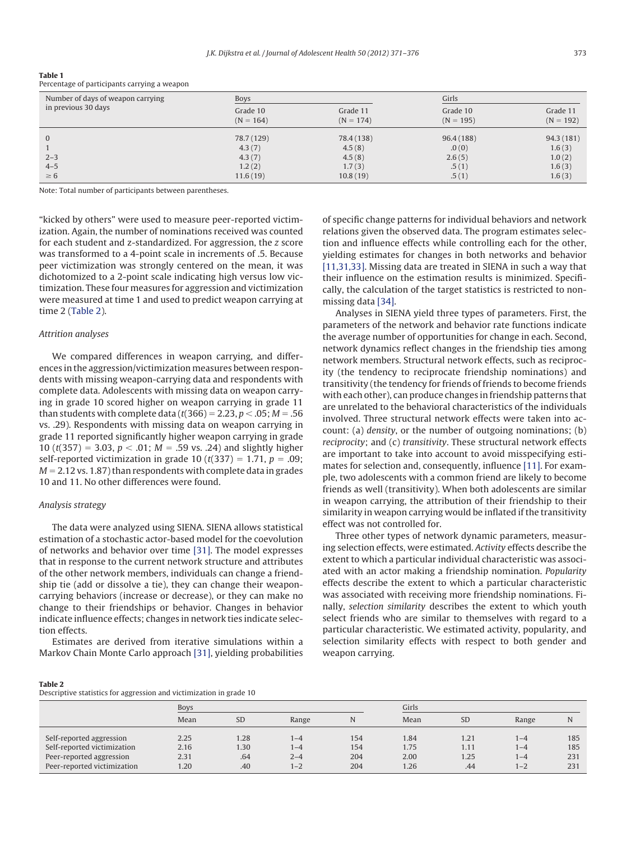| Number of days of weapon carrying<br>in previous 30 days | Boys                    |                         | Girls                   |                         |
|----------------------------------------------------------|-------------------------|-------------------------|-------------------------|-------------------------|
|                                                          | Grade 10<br>$(N = 164)$ | Grade 11<br>$(N = 174)$ | Grade 10<br>$(N = 195)$ | Grade 11<br>$(N = 192)$ |
| $\mathbf{0}$                                             | 78.7 (129)              | 78.4 (138)              | 96.4 (188)              | 94.3 (181)              |
|                                                          | 4.3(7)                  | 4.5(8)                  | .0(0)                   | 1.6(3)                  |
| $2 - 3$                                                  | 4.3(7)                  | 4.5(8)                  | 2.6(5)                  | 1.0(2)                  |
| $4 - 5$                                                  | 1.2(2)                  | 1.7(3)                  | .5(1)                   | 1.6(3)                  |
| $\geq 6$                                                 | 11.6(19)                | 10.8(19)                | .5(1)                   | 1.6(3)                  |

<span id="page-2-0"></span>**Table 1** Percentage of participants carrying a weapon

Note: Total number of participants between parentheses.

"kicked by others" were used to measure peer-reported victimization. Again, the number of nominations received was counted for each student and z-standardized. For aggression, the *z* score was transformed to a 4-point scale in increments of .5. Because peer victimization was strongly centered on the mean, it was dichotomized to a 2-point scale indicating high versus low victimization. These four measures for aggression and victimization were measured at time 1 and used to predict weapon carrying at time 2 [\(Table 2\)](#page-2-1).

## *Attrition analyses*

We compared differences in weapon carrying, and differences in the aggression/victimization measures between respondents with missing weapon-carrying data and respondents with complete data. Adolescents with missing data on weapon carrying in grade 10 scored higher on weapon carrying in grade 11 than students with complete data (*t*(366) = 2.23, *p* < .05;  $M$  = .56 vs. .29). Respondents with missing data on weapon carrying in grade 11 reported significantly higher weapon carrying in grade 10 ( $t(357) = 3.03$ ,  $p < .01$ ;  $M = .59$  vs. .24) and slightly higher self-reported victimization in grade 10 ( $t(337) = 1.71$ ,  $p = .09$ ;  $M = 2.12$  vs. 1.87) than respondents with complete data in grades 10 and 11. No other differences were found.

## *Analysis strategy*

The data were analyzed using SIENA. SIENA allows statistical estimation of a stochastic actor-based model for the coevolution of networks and behavior over time [\[31\].](#page-5-14) The model expresses that in response to the current network structure and attributes of the other network members, individuals can change a friendship tie (add or dissolve a tie), they can change their weaponcarrying behaviors (increase or decrease), or they can make no change to their friendships or behavior. Changes in behavior indicate influence effects; changes in network ties indicate selection effects.

Estimates are derived from iterative simulations within a Markov Chain Monte Carlo approach [\[31\],](#page-5-14) yielding probabilities of specific change patterns for individual behaviors and network relations given the observed data. The program estimates selection and influence effects while controlling each for the other, yielding estimates for changes in both networks and behavior [\[11,31,33\].](#page-5-6) Missing data are treated in SIENA in such a way that their influence on the estimation results is minimized. Specifically, the calculation of the target statistics is restricted to nonmissing data [\[34\].](#page-5-15)

Analyses in SIENA yield three types of parameters. First, the parameters of the network and behavior rate functions indicate the average number of opportunities for change in each. Second, network dynamics reflect changes in the friendship ties among network members. Structural network effects, such as reciprocity (the tendency to reciprocate friendship nominations) and transitivity (the tendency for friends of friends to become friends with each other), can produce changes in friendship patterns that are unrelated to the behavioral characteristics of the individuals involved. Three structural network effects were taken into account: (a) *density*, or the number of outgoing nominations; (b) *reciprocity*; and (c) *transitivity*. These structural network effects are important to take into account to avoid misspecifying estimates for selection and, consequently, influence [\[11\].](#page-5-6) For example, two adolescents with a common friend are likely to become friends as well (transitivity). When both adolescents are similar in weapon carrying, the attribution of their friendship to their similarity in weapon carrying would be inflated if the transitivity effect was not controlled for.

Three other types of network dynamic parameters, measuring selection effects, were estimated. *Activity* effects describe the extent to which a particular individual characteristic was associated with an actor making a friendship nomination. *Popularity* effects describe the extent to which a particular characteristic was associated with receiving more friendship nominations. Finally, *selection similarity* describes the extent to which youth select friends who are similar to themselves with regard to a particular characteristic. We estimated activity, popularity, and selection similarity effects with respect to both gender and weapon carrying.

#### <span id="page-2-1"></span>**Table 2**

| Descriptive statistics for aggression and victimization in grade 10 |  |  |  |  |  |  |  |
|---------------------------------------------------------------------|--|--|--|--|--|--|--|
|---------------------------------------------------------------------|--|--|--|--|--|--|--|

|                                                                                                                    | Boys                         |                            |                                    |                          |                              | Girls                       |                                      |                          |  |  |
|--------------------------------------------------------------------------------------------------------------------|------------------------------|----------------------------|------------------------------------|--------------------------|------------------------------|-----------------------------|--------------------------------------|--------------------------|--|--|
|                                                                                                                    | Mean                         | <b>SD</b>                  | Range                              |                          | Mean                         | <b>SD</b>                   | Range                                | N                        |  |  |
| Self-reported aggression<br>Self-reported victimization<br>Peer-reported aggression<br>Peer-reported victimization | 2.25<br>2.16<br>2.31<br>1.20 | 1.28<br>1.30<br>.64<br>.40 | $ -4$<br>1–4<br>$2 - 4$<br>$1 - 2$ | 154<br>154<br>204<br>204 | 1.84<br>1.75<br>2.00<br>1.26 | 1.21<br>1.11<br>1.25<br>.44 | 1-4<br>$1 - 4$<br>$1 - 4$<br>$1 - 2$ | 185<br>185<br>231<br>231 |  |  |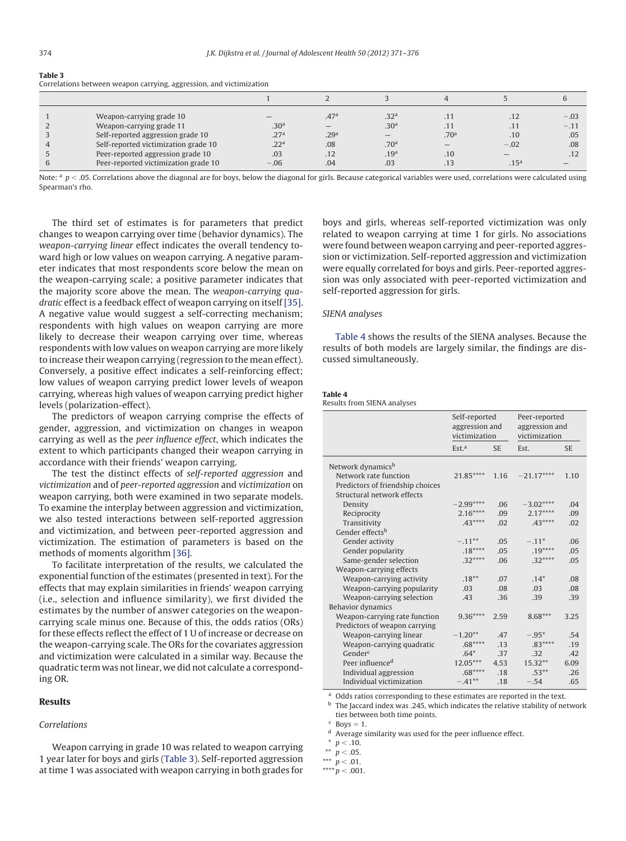| Weapon-carrying grade 10             |                  | .47 <sup>a</sup> | .32 <sup>a</sup> |                  | .12              | $-.03$ |
|--------------------------------------|------------------|------------------|------------------|------------------|------------------|--------|
| Weapon-carrying grade 11             | .30 <sup>a</sup> |                  | .30 <sup>a</sup> | .11              | .11              | $-.11$ |
| Self-reported aggression grade 10    | .27 <sup>a</sup> | .29 <sup>a</sup> |                  | .70 <sup>a</sup> | .10              | .05    |
| Self-reported victimization grade 10 | .22 <sup>a</sup> | .08              | .70 <sup>a</sup> |                  | $-.02$           | .08    |
| Peer-reported aggression grade 10    | .03              | .12              | .19 <sup>a</sup> | .10              |                  | .12    |
| Peer-reported victimization grade 10 | $-.06$           | .04              | .03              | .13              | .15 <sup>a</sup> |        |

<span id="page-3-0"></span>**Table 3** Correlations between weapon carrying, aggression, and victimization

Note:  $a$   $p <$  .05. Correlations above the diagonal are for boys, below the diagonal for girls. Because categorical variables were used, correlations were calculated using Spearman's rho.

The third set of estimates is for parameters that predict changes to weapon carrying over time (behavior dynamics). The *weapon-carrying linear* effect indicates the overall tendency toward high or low values on weapon carrying. A negative parameter indicates that most respondents score below the mean on the weapon-carrying scale; a positive parameter indicates that the majority score above the mean. The *weapon-carrying quadratic* effect is a feedback effect of weapon carrying on itself [\[35\].](#page-5-16) A negative value would suggest a self-correcting mechanism; respondents with high values on weapon carrying are more likely to decrease their weapon carrying over time, whereas respondents with low values on weapon carrying are more likely to increase their weapon carrying (regression to the mean effect). Conversely, a positive effect indicates a self-reinforcing effect; low values of weapon carrying predict lower levels of weapon carrying, whereas high values of weapon carrying predict higher levels (polarization-effect).

The predictors of weapon carrying comprise the effects of gender, aggression, and victimization on changes in weapon carrying as well as the *peer influence effect*, which indicates the extent to which participants changed their weapon carrying in accordance with their friends' weapon carrying.

The test the distinct effects of *self-reported aggression* and *victimization* and of *peer-reported aggression* and *victimization* on weapon carrying, both were examined in two separate models. To examine the interplay between aggression and victimization, we also tested interactions between self-reported aggression and victimization, and between peer-reported aggression and victimization. The estimation of parameters is based on the methods of moments algorithm [\[36\].](#page-5-17)

To facilitate interpretation of the results, we calculated the exponential function of the estimates (presented in text). For the effects that may explain similarities in friends' weapon carrying (i.e., selection and influence similarity), we first divided the estimates by the number of answer categories on the weaponcarrying scale minus one. Because of this, the odds ratios (ORs) for these effects reflect the effect of 1 U of increase or decrease on the weapon-carrying scale. The ORs for the covariates aggression and victimization were calculated in a similar way. Because the quadratic term was not linear, we did not calculate a corresponding OR.

#### **Results**

## *Correlations*

Weapon carrying in grade 10 was related to weapon carrying 1 year later for boys and girls [\(Table 3\)](#page-3-0). Self-reported aggression at time 1 was associated with weapon carrying in both grades for

boys and girls, whereas self-reported victimization was only related to weapon carrying at time 1 for girls. No associations were found between weapon carrying and peer-reported aggression or victimization. Self-reported aggression and victimization were equally correlated for boys and girls. Peer-reported aggression was only associated with peer-reported victimization and self-reported aggression for girls.

## *SIENA analyses*

[Table 4](#page-3-1) shows the results of the SIENA analyses. Because the results of both models are largely similar, the findings are discussed simultaneously.

<span id="page-3-1"></span>

| Table 4                     |  |  |
|-----------------------------|--|--|
| Results from SIENA analyses |  |  |

|                                  | Self-reported<br>aggression and<br>victimization |           | Peer-reported<br>aggression and<br>victimization |           |  |
|----------------------------------|--------------------------------------------------|-----------|--------------------------------------------------|-----------|--|
|                                  | Est. <sup>a</sup>                                | <b>SE</b> | Est.                                             | <b>SE</b> |  |
| Network dynamics <sup>b</sup>    |                                                  |           |                                                  |           |  |
| Network rate function            | 21.85****                                        | 1.16      | $-21.17***$                                      | 1.10      |  |
| Predictors of friendship choices |                                                  |           |                                                  |           |  |
| Structural network effects       |                                                  |           |                                                  |           |  |
| Density                          | $-2.99***$                                       | .06       | $-3.02***$                                       | .04       |  |
| Reciprocity                      | $2.16***$                                        | .09       | $2.17***$                                        | .09       |  |
| Transitivity                     | $.43***$                                         | .02       | $.43***$                                         | .02       |  |
| Gender effects <sup>b</sup>      |                                                  |           |                                                  |           |  |
| Gender activity                  | $-.11***$                                        | .05       | $-.11*$                                          | .06       |  |
| Gender popularity                | $.18***$                                         | .05       | $.19***$                                         | .05       |  |
| Same-gender selection            | $.32***$                                         | .06       | $.32***$                                         | .05       |  |
| Weapon-carrying effects          |                                                  |           |                                                  |           |  |
| Weapon-carrying activity         | $.18***$                                         | .07       | $.14*$                                           | .08       |  |
| Weapon-carrying popularity       | .03                                              | .08       | .03                                              | .08       |  |
| Weapon-carrying selection        | .43                                              | .36       | .39                                              | .39       |  |
| <b>Behavior dynamics</b>         |                                                  |           |                                                  |           |  |
| Weapon-carrying rate function    | $9.36***$                                        | 2.59      | $8.68***$                                        | 3.25      |  |
| Predictors of weapon carrying    |                                                  |           |                                                  |           |  |
| Weapon-carrying linear           | $-1.20**$                                        | .47       | $-.95*$                                          | .54       |  |
| Weapon-carrying quadratic        | $.68***$                                         | .13       | $.83***$                                         | .19       |  |
| $G$ ender <sup>c</sup>           | $.64*$                                           | .37       | .32                                              | .42       |  |
| Peer influence <sup>d</sup>      | $12.05***$                                       | 4.53      | $15.32**$                                        | 6.09      |  |
| Individual aggression            | $.68***$                                         | .18       | $.53***$                                         | .26       |  |
| Individual victimization         | $-.41**$                                         | .18       | $-.54$                                           | .65       |  |

Odds ratios corresponding to these estimates are reported in the text.

<sup>b</sup> The Jaccard index was .245, which indicates the relative stability of network ties between both time points.

 $c$  Boys = 1.

<sup>d</sup> Average similarity was used for the peer influence effect.

 $p < .10$ .

 $p < .05$ .

 $***\, p<.01.$ 

 $^{****}p<.001.$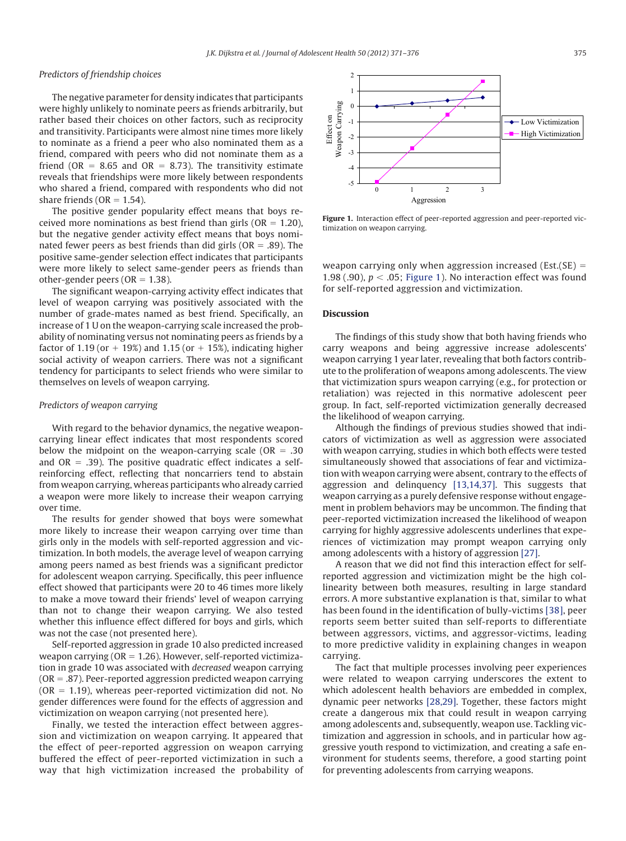## *Predictors of friendship choices*

The negative parameter for density indicates that participants were highly unlikely to nominate peers as friends arbitrarily, but rather based their choices on other factors, such as reciprocity and transitivity. Participants were almost nine times more likely to nominate as a friend a peer who also nominated them as a friend, compared with peers who did not nominate them as a friend (OR = 8.65 and OR = 8.73). The transitivity estimate reveals that friendships were more likely between respondents who shared a friend, compared with respondents who did not share friends ( $OR = 1.54$ ).

The positive gender popularity effect means that boys received more nominations as best friend than girls ( $OR = 1.20$ ), but the negative gender activity effect means that boys nominated fewer peers as best friends than did girls ( $OR = .89$ ). The positive same-gender selection effect indicates that participants were more likely to select same-gender peers as friends than other-gender peers (OR  $= 1.38$ ).

The significant weapon-carrying activity effect indicates that level of weapon carrying was positively associated with the number of grade-mates named as best friend. Specifically, an increase of 1 U on the weapon-carrying scale increased the probability of nominating versus not nominating peers as friends by a factor of 1.19 (or  $+$  19%) and 1.15 (or  $+$  15%), indicating higher social activity of weapon carriers. There was not a significant tendency for participants to select friends who were similar to themselves on levels of weapon carrying.

## *Predictors of weapon carrying*

With regard to the behavior dynamics, the negative weaponcarrying linear effect indicates that most respondents scored below the midpoint on the weapon-carrying scale ( $OR = .30$ ) and  $OR = .39$ ). The positive quadratic effect indicates a selfreinforcing effect, reflecting that noncarriers tend to abstain from weapon carrying, whereas participants who already carried a weapon were more likely to increase their weapon carrying over time.

The results for gender showed that boys were somewhat more likely to increase their weapon carrying over time than girls only in the models with self-reported aggression and victimization. In both models, the average level of weapon carrying among peers named as best friends was a significant predictor for adolescent weapon carrying. Specifically, this peer influence effect showed that participants were 20 to 46 times more likely to make a move toward their friends' level of weapon carrying than not to change their weapon carrying. We also tested whether this influence effect differed for boys and girls, which was not the case (not presented here).

Self-reported aggression in grade 10 also predicted increased weapon carrying ( $OR = 1.26$ ). However, self-reported victimization in grade 10 was associated with *decreased* weapon carrying  $(OR = .87)$ . Peer-reported aggression predicted weapon carrying  $(OR = 1.19)$ , whereas peer-reported victimization did not. No gender differences were found for the effects of aggression and victimization on weapon carrying (not presented here).

Finally, we tested the interaction effect between aggression and victimization on weapon carrying. It appeared that the effect of peer-reported aggression on weapon carrying buffered the effect of peer-reported victimization in such a way that high victimization increased the probability of



<span id="page-4-0"></span>**Figure 1.** Interaction effect of peer-reported aggression and peer-reported victimization on weapon carrying.

weapon carrying only when aggression increased (Est.(SE)  $=$ 1.98 (.90),  $p <$  .05; [Figure 1\)](#page-4-0). No interaction effect was found for self-reported aggression and victimization.

## **Discussion**

The findings of this study show that both having friends who carry weapons and being aggressive increase adolescents' weapon carrying 1 year later, revealing that both factors contribute to the proliferation of weapons among adolescents. The view that victimization spurs weapon carrying (e.g., for protection or retaliation) was rejected in this normative adolescent peer group. In fact, self-reported victimization generally decreased the likelihood of weapon carrying.

Although the findings of previous studies showed that indicators of victimization as well as aggression were associated with weapon carrying, studies in which both effects were tested simultaneously showed that associations of fear and victimization with weapon carrying were absent, contrary to the effects of aggression and delinquency [\[13,14,37\].](#page-5-7) This suggests that weapon carrying as a purely defensive response without engagement in problem behaviors may be uncommon. The finding that peer-reported victimization increased the likelihood of weapon carrying for highly aggressive adolescents underlines that experiences of victimization may prompt weapon carrying only among adolescents with a history of aggression [\[27\].](#page-5-18)

A reason that we did not find this interaction effect for selfreported aggression and victimization might be the high collinearity between both measures, resulting in large standard errors. A more substantive explanation is that, similar to what has been found in the identification of bully-victims [\[38\],](#page-5-19) peer reports seem better suited than self-reports to differentiate between aggressors, victims, and aggressor-victims, leading to more predictive validity in explaining changes in weapon carrying.

The fact that multiple processes involving peer experiences were related to weapon carrying underscores the extent to which adolescent health behaviors are embedded in complex, dynamic peer networks [\[28,29\].](#page-5-12) Together, these factors might create a dangerous mix that could result in weapon carrying among adolescents and, subsequently, weapon use. Tackling victimization and aggression in schools, and in particular how aggressive youth respond to victimization, and creating a safe environment for students seems, therefore, a good starting point for preventing adolescents from carrying weapons.